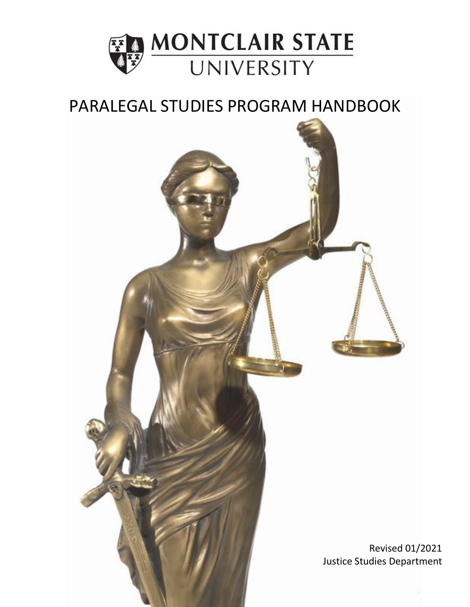

# PARALEGAL STUDIES PROGRAM HANDBOOK

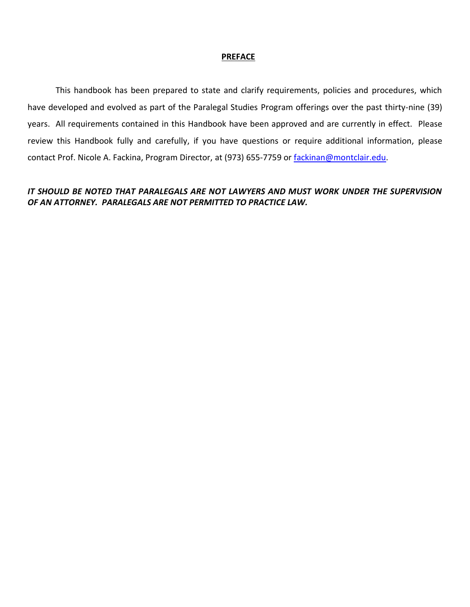#### **PREFACE**

This handbook has been prepared to state and clarify requirements, policies and procedures, which have developed and evolved as part of the Paralegal Studies Program offerings over the past thirty-nine (39) years. All requirements contained in this Handbook have been approved and are currently in effect. Please review this Handbook fully and carefully, if you have questions or require additional information, please contact Prof. Nicole A. Fackina, Program Director, at (973) 655-7759 or [fackinan@montclair.edu.](mailto:fackinan@montclair.edu)

# *IT SHOULD BE NOTED THAT PARALEGALS ARE NOT LAWYERS AND MUST WORK UNDER THE SUPERVISION OF AN ATTORNEY. PARALEGALS ARE NOT PERMITTED TO PRACTICE LAW.*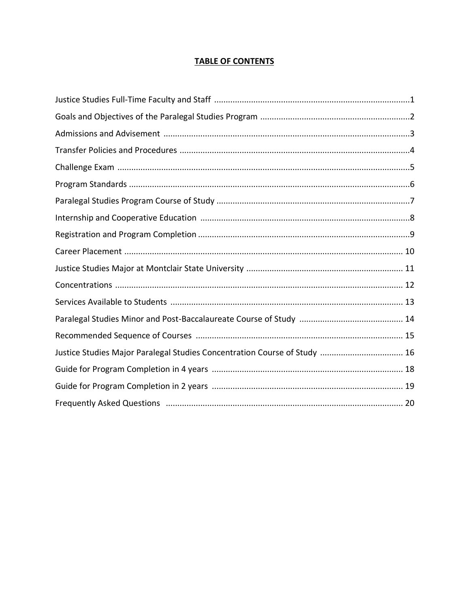# **TABLE OF CONTENTS**

| Justice Studies Major Paralegal Studies Concentration Course of Study  16 |
|---------------------------------------------------------------------------|
|                                                                           |
|                                                                           |
|                                                                           |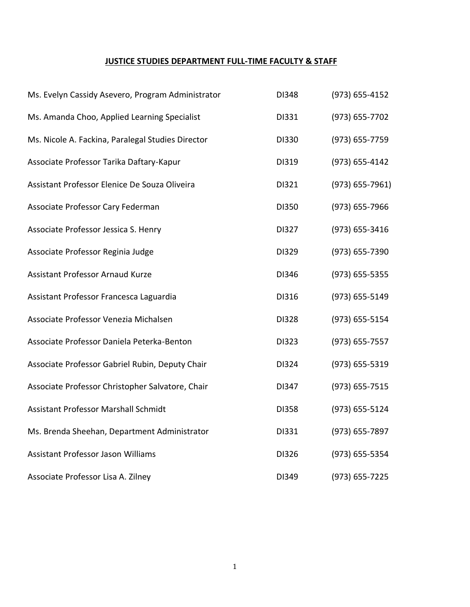# **JUSTICE STUDIES DEPARTMENT FULL-TIME FACULTY & STAFF**

| Ms. Evelyn Cassidy Asevero, Program Administrator | DI348 | (973) 655-4152     |
|---------------------------------------------------|-------|--------------------|
| Ms. Amanda Choo, Applied Learning Specialist      | DI331 | (973) 655-7702     |
| Ms. Nicole A. Fackina, Paralegal Studies Director | DI330 | (973) 655-7759     |
| Associate Professor Tarika Daftary-Kapur          | DI319 | (973) 655-4142     |
| Assistant Professor Elenice De Souza Oliveira     | DI321 | $(973) 655 - 7961$ |
| Associate Professor Cary Federman                 | DI350 | (973) 655-7966     |
| Associate Professor Jessica S. Henry              | DI327 | (973) 655-3416     |
| Associate Professor Reginia Judge                 | DI329 | (973) 655-7390     |
| <b>Assistant Professor Arnaud Kurze</b>           | DI346 | (973) 655-5355     |
| Assistant Professor Francesca Laguardia           | DI316 | (973) 655-5149     |
| Associate Professor Venezia Michalsen             | DI328 | (973) 655-5154     |
| Associate Professor Daniela Peterka-Benton        | DI323 | (973) 655-7557     |
| Associate Professor Gabriel Rubin, Deputy Chair   | DI324 | (973) 655-5319     |
| Associate Professor Christopher Salvatore, Chair  | DI347 | (973) 655-7515     |
| Assistant Professor Marshall Schmidt              | DI358 | (973) 655-5124     |
| Ms. Brenda Sheehan, Department Administrator      | DI331 | (973) 655-7897     |
| Assistant Professor Jason Williams                | DI326 | (973) 655-5354     |
| Associate Professor Lisa A. Zilney                | DI349 | (973) 655-7225     |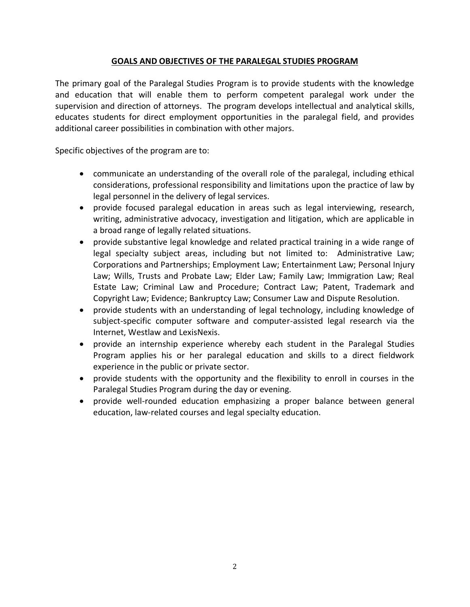# **GOALS AND OBJECTIVES OF THE PARALEGAL STUDIES PROGRAM**

The primary goal of the Paralegal Studies Program is to provide students with the knowledge and education that will enable them to perform competent paralegal work under the supervision and direction of attorneys. The program develops intellectual and analytical skills, educates students for direct employment opportunities in the paralegal field, and provides additional career possibilities in combination with other majors.

Specific objectives of the program are to:

- communicate an understanding of the overall role of the paralegal, including ethical considerations, professional responsibility and limitations upon the practice of law by legal personnel in the delivery of legal services.
- provide focused paralegal education in areas such as legal interviewing, research, writing, administrative advocacy, investigation and litigation, which are applicable in a broad range of legally related situations.
- provide substantive legal knowledge and related practical training in a wide range of legal specialty subject areas, including but not limited to: Administrative Law; Corporations and Partnerships; Employment Law; Entertainment Law; Personal Injury Law; Wills, Trusts and Probate Law; Elder Law; Family Law; Immigration Law; Real Estate Law; Criminal Law and Procedure; Contract Law; Patent, Trademark and Copyright Law; Evidence; Bankruptcy Law; Consumer Law and Dispute Resolution.
- provide students with an understanding of legal technology, including knowledge of subject-specific computer software and computer-assisted legal research via the Internet, Westlaw and LexisNexis.
- provide an internship experience whereby each student in the Paralegal Studies Program applies his or her paralegal education and skills to a direct fieldwork experience in the public or private sector.
- provide students with the opportunity and the flexibility to enroll in courses in the Paralegal Studies Program during the day or evening.
- provide well-rounded education emphasizing a proper balance between general education, law-related courses and legal specialty education.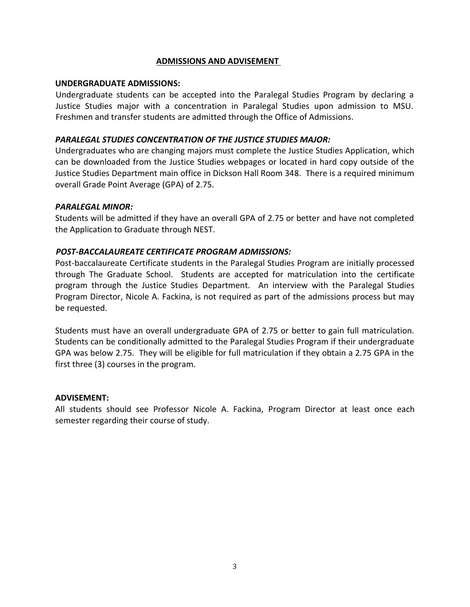#### **ADMISSIONS AND ADVISEMENT**

#### **UNDERGRADUATE ADMISSIONS:**

Undergraduate students can be accepted into the Paralegal Studies Program by declaring a Justice Studies major with a concentration in Paralegal Studies upon admission to MSU. Freshmen and transfer students are admitted through the Office of Admissions.

#### *PARALEGAL STUDIES CONCENTRATION OF THE JUSTICE STUDIES MAJOR:*

Undergraduates who are changing majors must complete the Justice Studies Application, which can be downloaded from the Justice Studies webpages or located in hard copy outside of the Justice Studies Department main office in Dickson Hall Room 348. There is a required minimum overall Grade Point Average (GPA) of 2.75.

#### *PARALEGAL MINOR:*

Students will be admitted if they have an overall GPA of 2.75 or better and have not completed the Application to Graduate through NEST.

#### *POST-BACCALAUREATE CERTIFICATE PROGRAM ADMISSIONS:*

Post-baccalaureate Certificate students in the Paralegal Studies Program are initially processed through The Graduate School. Students are accepted for matriculation into the certificate program through the Justice Studies Department. An interview with the Paralegal Studies Program Director, Nicole A. Fackina, is not required as part of the admissions process but may be requested.

Students must have an overall undergraduate GPA of 2.75 or better to gain full matriculation. Students can be conditionally admitted to the Paralegal Studies Program if their undergraduate GPA was below 2.75. They will be eligible for full matriculation if they obtain a 2.75 GPA in the first three (3) courses in the program.

#### **ADVISEMENT:**

All students should see Professor Nicole A. Fackina, Program Director at least once each semester regarding their course of study.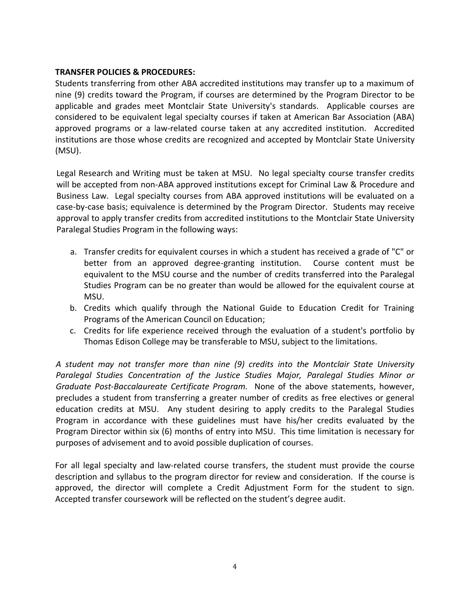### **TRANSFER POLICIES & PROCEDURES:**

Students transferring from other ABA accredited institutions may transfer up to a maximum of nine (9) credits toward the Program, if courses are determined by the Program Director to be applicable and grades meet Montclair State University's standards. Applicable courses are considered to be equivalent legal specialty courses if taken at American Bar Association (ABA) approved programs or a law-related course taken at any accredited institution. Accredited institutions are those whose credits are recognized and accepted by Montclair State University (MSU).

Legal Research and Writing must be taken at MSU. No legal specialty course transfer credits will be accepted from non-ABA approved institutions except for Criminal Law & Procedure and Business Law. Legal specialty courses from ABA approved institutions will be evaluated on a case-by-case basis; equivalence is determined by the Program Director. Students may receive approval to apply transfer credits from accredited institutions to the Montclair State University Paralegal Studies Program in the following ways:

- a. Transfer credits for equivalent courses in which a student has received a grade of "C" or better from an approved degree-granting institution. Course content must be equivalent to the MSU course and the number of credits transferred into the Paralegal Studies Program can be no greater than would be allowed for the equivalent course at MSU.
- b. Credits which qualify through the National Guide to Education Credit for Training Programs of the American Council on Education;
- c. Credits for life experience received through the evaluation of a student's portfolio by Thomas Edison College may be transferable to MSU, subject to the limitations.

*A student may not transfer more than nine (9) credits into the Montclair State University Paralegal Studies Concentration of the Justice Studies Major, Paralegal Studies Minor or Graduate Post-Baccalaureate Certificate Program.* None of the above statements, however, precludes a student from transferring a greater number of credits as free electives or general education credits at MSU. Any student desiring to apply credits to the Paralegal Studies Program in accordance with these guidelines must have his/her credits evaluated by the Program Director within six (6) months of entry into MSU. This time limitation is necessary for purposes of advisement and to avoid possible duplication of courses.

For all legal specialty and law-related course transfers, the student must provide the course description and syllabus to the program director for review and consideration. If the course is approved, the director will complete a Credit Adjustment Form for the student to sign. Accepted transfer coursework will be reflected on the student's degree audit.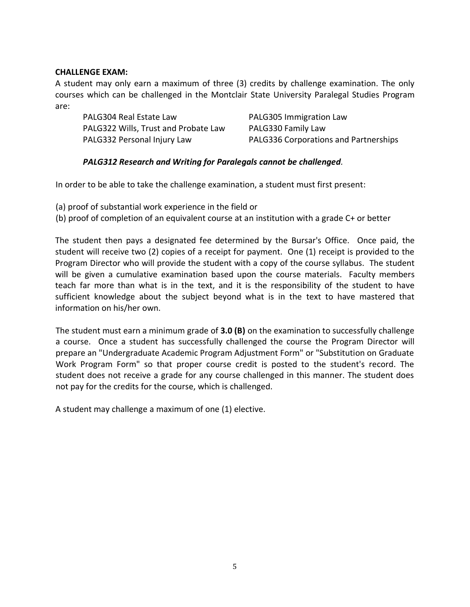#### **CHALLENGE EXAM:**

A student may only earn a maximum of three (3) credits by challenge examination. The only courses which can be challenged in the Montclair State University Paralegal Studies Program are:

PALG304 Real Estate Law PALG305 Immigration Law PALG322 Wills, Trust and Probate Law PALG330 Family Law

PALG332 Personal Injury Law PALG336 Corporations and Partnerships

# *PALG312 Research and Writing for Paralegals cannot be challenged.*

In order to be able to take the challenge examination, a student must first present:

(a) proof of substantial work experience in the field or

(b) proof of completion of an equivalent course at an institution with a grade C+ or better

The student then pays a designated fee determined by the Bursar's Office. Once paid, the student will receive two (2) copies of a receipt for payment. One (1) receipt is provided to the Program Director who will provide the student with a copy of the course syllabus. The student will be given a cumulative examination based upon the course materials. Faculty members teach far more than what is in the text, and it is the responsibility of the student to have sufficient knowledge about the subject beyond what is in the text to have mastered that information on his/her own.

The student must earn a minimum grade of **3.0 (B)** on the examination to successfully challenge a course. Once a student has successfully challenged the course the Program Director will prepare an "Undergraduate Academic Program Adjustment Form" or "Substitution on Graduate Work Program Form" so that proper course credit is posted to the student's record. The student does not receive a grade for any course challenged in this manner. The student does not pay for the credits for the course, which is challenged.

A student may challenge a maximum of one (1) elective.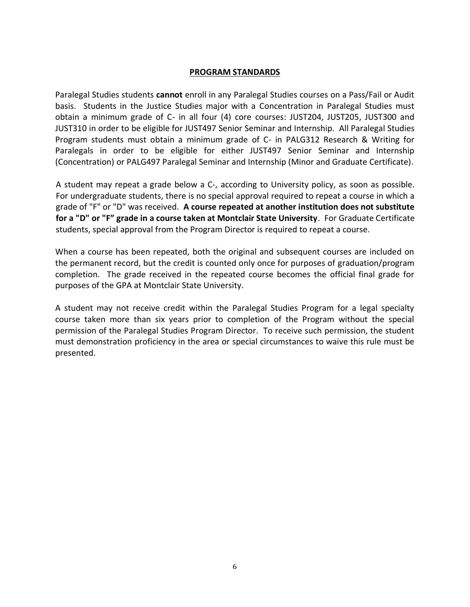#### **PROGRAM STANDARDS**

Paralegal Studies students **cannot** enroll in any Paralegal Studies courses on a Pass/Fail or Audit basis. Students in the Justice Studies major with a Concentration in Paralegal Studies must obtain a minimum grade of C- in all four (4) core courses: JUST204, JUST205, JUST300 and JUST310 in order to be eligible for JUST497 Senior Seminar and Internship. All Paralegal Studies Program students must obtain a minimum grade of C- in PALG312 Research & Writing for Paralegals in order to be eligible for either JUST497 Senior Seminar and Internship (Concentration) or PALG497 Paralegal Seminar and Internship (Minor and Graduate Certificate).

A student may repeat a grade below a C-, according to University policy, as soon as possible. For undergraduate students, there is no special approval required to repeat a course in which a grade of "F" or "D" was received. **A course repeated at another institution does not substitute for a "D" or "F" grade in a course taken at Montclair State University**. For Graduate Certificate students, special approval from the Program Director is required to repeat a course.

When a course has been repeated, both the original and subsequent courses are included on the permanent record, but the credit is counted only once for purposes of graduation/program completion. The grade received in the repeated course becomes the official final grade for purposes of the GPA at Montclair State University.

A student may not receive credit within the Paralegal Studies Program for a legal specialty course taken more than six years prior to completion of the Program without the special permission of the Paralegal Studies Program Director. To receive such permission, the student must demonstration proficiency in the area or special circumstances to waive this rule must be presented.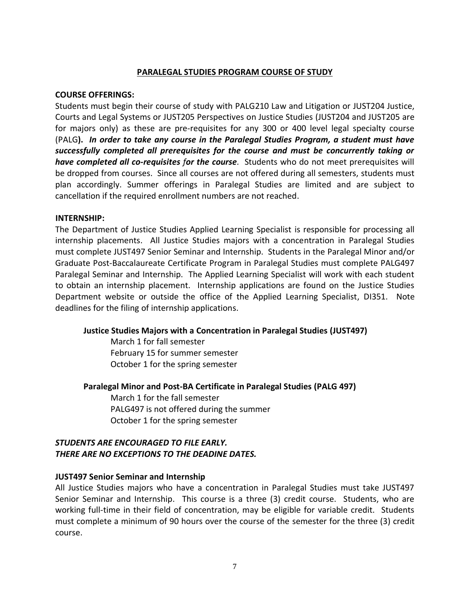#### **PARALEGAL STUDIES PROGRAM COURSE OF STUDY**

#### **COURSE OFFERINGS:**

Students must begin their course of study with PALG210 Law and Litigation or JUST204 Justice, Courts and Legal Systems or JUST205 Perspectives on Justice Studies (JUST204 and JUST205 are for majors only) as these are pre-requisites for any 300 or 400 level legal specialty course (PALG**).** *In order to take any course in the Paralegal Studies Program, a student must have successfully completed all prerequisites for the course and must be concurrently taking or have completed all co-requisites for the course.* Students who do not meet prerequisites will be dropped from courses. Since all courses are not offered during all semesters, students must plan accordingly. Summer offerings in Paralegal Studies are limited and are subject to cancellation if the required enrollment numbers are not reached.

#### **INTERNSHIP:**

The Department of Justice Studies Applied Learning Specialist is responsible for processing all internship placements. All Justice Studies majors with a concentration in Paralegal Studies must complete JUST497 Senior Seminar and Internship. Students in the Paralegal Minor and/or Graduate Post-Baccalaureate Certificate Program in Paralegal Studies must complete PALG497 Paralegal Seminar and Internship. The Applied Learning Specialist will work with each student to obtain an internship placement. Internship applications are found on the Justice Studies Department website or outside the office of the Applied Learning Specialist, DI351. Note deadlines for the filing of internship applications.

#### **Justice Studies Majors with a Concentration in Paralegal Studies (JUST497)**

March 1 for fall semester February 15 for summer semester October 1 for the spring semester

#### **Paralegal Minor and Post-BA Certificate in Paralegal Studies (PALG 497)**

March 1 for the fall semester PALG497 is not offered during the summer October 1 for the spring semester

# *STUDENTS ARE ENCOURAGED TO FILE EARLY. THERE ARE NO EXCEPTIONS TO THE DEADINE DATES.*

#### **JUST497 Senior Seminar and Internship**

All Justice Studies majors who have a concentration in Paralegal Studies must take JUST497 Senior Seminar and Internship. This course is a three (3) credit course. Students, who are working full-time in their field of concentration, may be eligible for variable credit. Students must complete a minimum of 90 hours over the course of the semester for the three (3) credit course.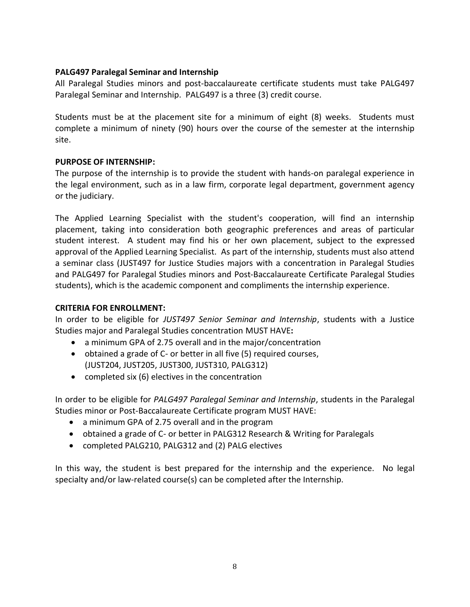#### **PALG497 Paralegal Seminar and Internship**

All Paralegal Studies minors and post-baccalaureate certificate students must take PALG497 Paralegal Seminar and Internship. PALG497 is a three (3) credit course.

Students must be at the placement site for a minimum of eight (8) weeks. Students must complete a minimum of ninety (90) hours over the course of the semester at the internship site.

# **PURPOSE OF INTERNSHIP:**

The purpose of the internship is to provide the student with hands-on paralegal experience in the legal environment, such as in a law firm, corporate legal department, government agency or the judiciary.

The Applied Learning Specialist with the student's cooperation, will find an internship placement, taking into consideration both geographic preferences and areas of particular student interest. A student may find his or her own placement, subject to the expressed approval of the Applied Learning Specialist. As part of the internship, students must also attend a seminar class (JUST497 for Justice Studies majors with a concentration in Paralegal Studies and PALG497 for Paralegal Studies minors and Post-Baccalaureate Certificate Paralegal Studies students), which is the academic component and compliments the internship experience.

#### **CRITERIA FOR ENROLLMENT:**

In order to be eligible for *JUST497 Senior Seminar and Internship*, students with a Justice Studies major and Paralegal Studies concentration MUST HAVE**:**

- a minimum GPA of 2.75 overall and in the major/concentration
- obtained a grade of C- or better in all five (5) required courses, (JUST204, JUST205, JUST300, JUST310, PALG312)
- completed six (6) electives in the concentration

In order to be eligible for *PALG497 Paralegal Seminar and Internship*, students in the Paralegal Studies minor or Post-Baccalaureate Certificate program MUST HAVE:

- a minimum GPA of 2.75 overall and in the program
- obtained a grade of C- or better in PALG312 Research & Writing for Paralegals
- completed PALG210, PALG312 and (2) PALG electives

In this way, the student is best prepared for the internship and the experience. No legal specialty and/or law-related course(s) can be completed after the Internship.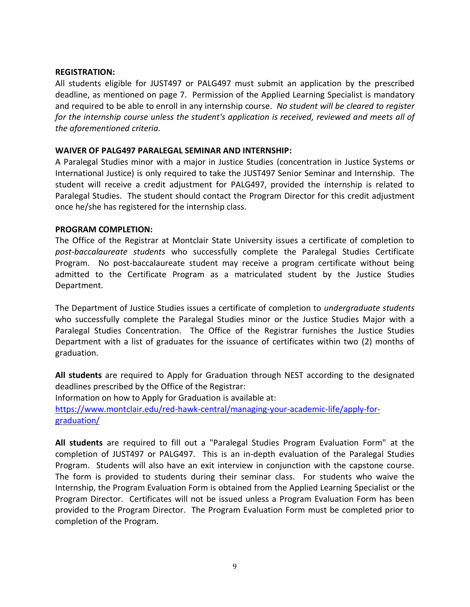#### **REGISTRATION:**

All students eligible for JUST497 or PALG497 must submit an application by the prescribed deadline, as mentioned on page 7. Permission of the Applied Learning Specialist is mandatory and required to be able to enroll in any internship course. *No student will be cleared to register for the internship course unless the student's application is received, reviewed and meets all of the aforementioned criteria.*

#### **WAIVER OF PALG497 PARALEGAL SEMINAR AND INTERNSHIP:**

A Paralegal Studies minor with a major in Justice Studies (concentration in Justice Systems or International Justice) is only required to take the JUST497 Senior Seminar and Internship. The student will receive a credit adjustment for PALG497, provided the internship is related to Paralegal Studies. The student should contact the Program Director for this credit adjustment once he/she has registered for the internship class.

#### **PROGRAM COMPLETION:**

The Office of the Registrar at Montclair State University issues a certificate of completion to *post-baccalaureate students* who successfully complete the Paralegal Studies Certificate Program. No post-baccalaureate student may receive a program certificate without being admitted to the Certificate Program as a matriculated student by the Justice Studies Department.

The Department of Justice Studies issues a certificate of completion to *undergraduate students* who successfully complete the Paralegal Studies minor or the Justice Studies Major with a Paralegal Studies Concentration. The Office of the Registrar furnishes the Justice Studies Department with a list of graduates for the issuance of certificates within two (2) months of graduation.

**All students** are required to Apply for Graduation through NEST according to the designated deadlines prescribed by the Office of the Registrar:

Information on how to Apply for Graduation is available at:

[https://www.montclair.edu/red-hawk-central/managing-your-academic-life/apply-for](https://www.montclair.edu/red-hawk-central/managing-your-academic-life/apply-for-graduation/)[graduation/](https://www.montclair.edu/red-hawk-central/managing-your-academic-life/apply-for-graduation/)

**All students** are required to fill out a "Paralegal Studies Program Evaluation Form" at the completion of JUST497 or PALG497. This is an in-depth evaluation of the Paralegal Studies Program. Students will also have an exit interview in conjunction with the capstone course. The form is provided to students during their seminar class. For students who waive the Internship, the Program Evaluation Form is obtained from the Applied Learning Specialist or the Program Director. Certificates will not be issued unless a Program Evaluation Form has been provided to the Program Director. The Program Evaluation Form must be completed prior to completion of the Program.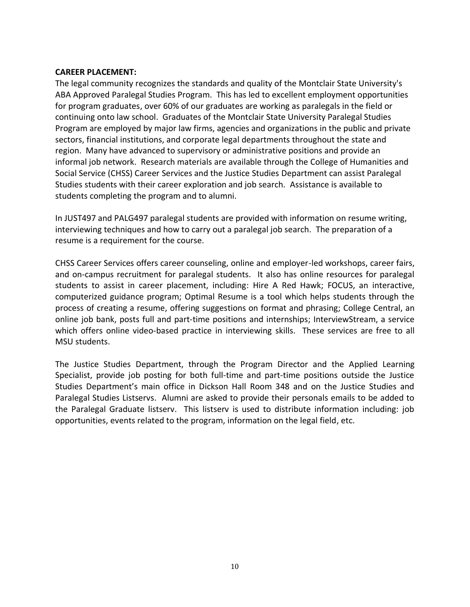#### **CAREER PLACEMENT:**

The legal community recognizes the standards and quality of the Montclair State University's ABA Approved Paralegal Studies Program. This has led to excellent employment opportunities for program graduates, over 60% of our graduates are working as paralegals in the field or continuing onto law school. Graduates of the Montclair State University Paralegal Studies Program are employed by major law firms, agencies and organizations in the public and private sectors, financial institutions, and corporate legal departments throughout the state and region. Many have advanced to supervisory or administrative positions and provide an informal job network. Research materials are available through the College of Humanities and Social Service (CHSS) Career Services and the Justice Studies Department can assist Paralegal Studies students with their career exploration and job search. Assistance is available to students completing the program and to alumni.

In JUST497 and PALG497 paralegal students are provided with information on resume writing, interviewing techniques and how to carry out a paralegal job search. The preparation of a resume is a requirement for the course.

CHSS Career Services offers career counseling, online and employer-led workshops, career fairs, and on-campus recruitment for paralegal students. It also has online resources for paralegal students to assist in career placement, including: Hire A Red Hawk; FOCUS, an interactive, computerized guidance program; Optimal Resume is a tool which helps students through the process of creating a resume, offering suggestions on format and phrasing; College Central, an online job bank, posts full and part-time positions and internships; InterviewStream, a service which offers online video-based practice in interviewing skills. These services are free to all MSU students.

The Justice Studies Department, through the Program Director and the Applied Learning Specialist, provide job posting for both full-time and part-time positions outside the Justice Studies Department's main office in Dickson Hall Room 348 and on the Justice Studies and Paralegal Studies Listservs. Alumni are asked to provide their personals emails to be added to the Paralegal Graduate listserv. This listserv is used to distribute information including: job opportunities, events related to the program, information on the legal field, etc.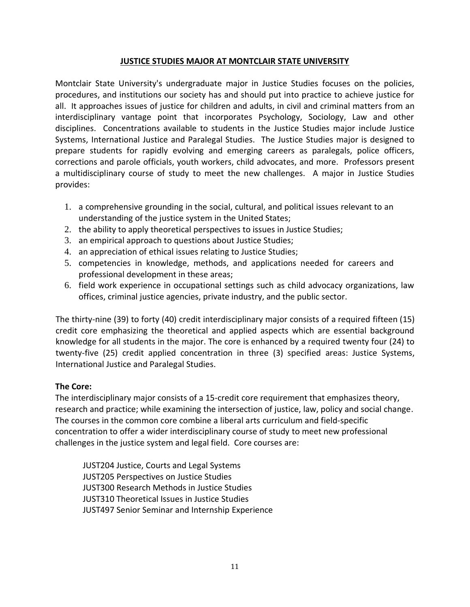# **JUSTICE STUDIES MAJOR AT MONTCLAIR STATE UNIVERSITY**

Montclair State University's undergraduate major in Justice Studies focuses on the policies, procedures, and institutions our society has and should put into practice to achieve justice for all. It approaches issues of justice for children and adults, in civil and criminal matters from an interdisciplinary vantage point that incorporates Psychology, Sociology, Law and other disciplines. Concentrations available to students in the Justice Studies major include Justice Systems, International Justice and Paralegal Studies. The Justice Studies major is designed to prepare students for rapidly evolving and emerging careers as paralegals, police officers, corrections and parole officials, youth workers, child advocates, and more. Professors present a multidisciplinary course of study to meet the new challenges. A major in Justice Studies provides:

- 1. a comprehensive grounding in the social, cultural, and political issues relevant to an understanding of the justice system in the United States;
- 2. the ability to apply theoretical perspectives to issues in Justice Studies;
- 3. an empirical approach to questions about Justice Studies;
- 4. an appreciation of ethical issues relating to Justice Studies;
- 5. competencies in knowledge, methods, and applications needed for careers and professional development in these areas;
- 6. field work experience in occupational settings such as child advocacy organizations, law offices, criminal justice agencies, private industry, and the public sector.

The thirty-nine (39) to forty (40) credit interdisciplinary major consists of a required fifteen (15) credit core emphasizing the theoretical and applied aspects which are essential background knowledge for all students in the major. The core is enhanced by a required twenty four (24) to twenty-five (25) credit applied concentration in three (3) specified areas: Justice Systems, International Justice and Paralegal Studies.

# **The Core:**

The interdisciplinary major consists of a 15-credit core requirement that emphasizes theory, research and practice; while examining the intersection of justice, law, policy and social change. The courses in the common core combine a liberal arts curriculum and field-specific concentration to offer a wider interdisciplinary course of study to meet new professional challenges in the justice system and legal field. Core courses are:

JUST204 Justice, Courts and Legal Systems JUST205 Perspectives on Justice Studies JUST300 Research Methods in Justice Studies JUST310 Theoretical Issues in Justice Studies JUST497 Senior Seminar and Internship Experience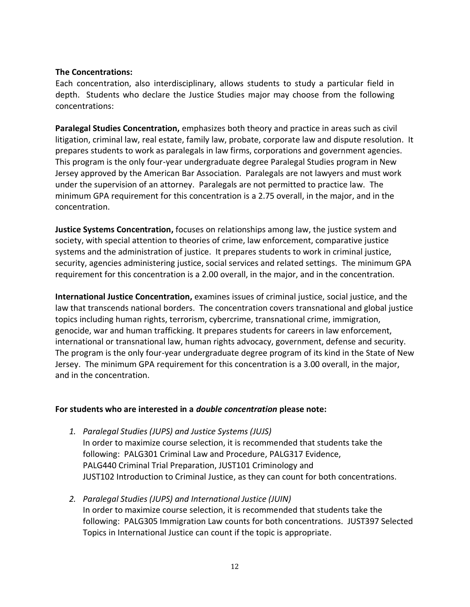#### **The Concentrations:**

Each concentration, also interdisciplinary, allows students to study a particular field in depth. Students who declare the Justice Studies major may choose from the following concentrations:

**Paralegal Studies Concentration,** emphasizes both theory and practice in areas such as civil litigation, criminal law, real estate, family law, probate, corporate law and dispute resolution. It prepares students to work as paralegals in law firms, corporations and government agencies. This program is the only four-year undergraduate degree Paralegal Studies program in New Jersey approved by the American Bar Association. Paralegals are not lawyers and must work under the supervision of an attorney. Paralegals are not permitted to practice law. The minimum GPA requirement for this concentration is a 2.75 overall, in the major, and in the concentration.

**Justice Systems Concentration,** focuses on relationships among law, the justice system and society, with special attention to theories of crime, law enforcement, comparative justice systems and the administration of justice. It prepares students to work in criminal justice, security, agencies administering justice, social services and related settings. The minimum GPA requirement for this concentration is a 2.00 overall, in the major, and in the concentration.

**International Justice Concentration,** examines issues of criminal justice, social justice, and the law that transcends national borders. The concentration covers transnational and global justice topics including human rights, terrorism, cybercrime, transnational crime, immigration, genocide, war and human trafficking. It prepares students for careers in law enforcement, international or transnational law, human rights advocacy, government, defense and security. The program is the only four-year undergraduate degree program of its kind in the State of New Jersey. The minimum GPA requirement for this concentration is a 3.00 overall, in the major, and in the concentration.

#### **For students who are interested in a** *double concentration* **please note:**

- *1. Paralegal Studies (JUPS) and Justice Systems (JUJS)* In order to maximize course selection, it is recommended that students take the following: PALG301 Criminal Law and Procedure, PALG317 Evidence, PALG440 Criminal Trial Preparation, JUST101 Criminology and JUST102 Introduction to Criminal Justice, as they can count for both concentrations.
- *2. Paralegal Studies (JUPS) and International Justice (JUIN)* In order to maximize course selection, it is recommended that students take the following: PALG305 Immigration Law counts for both concentrations. JUST397 Selected Topics in International Justice can count if the topic is appropriate.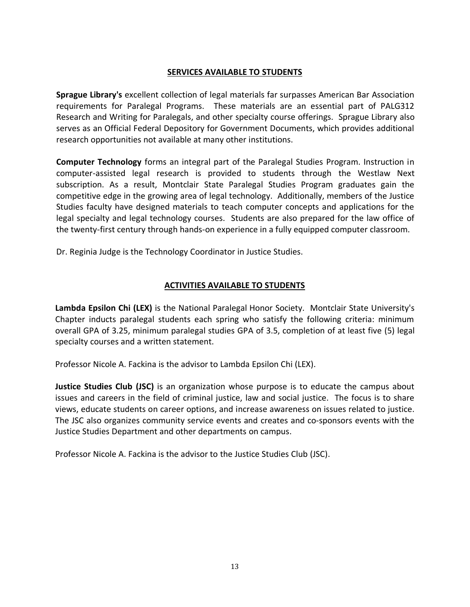#### **SERVICES AVAILABLE TO STUDENTS**

**Sprague Library's** excellent collection of legal materials far surpasses American Bar Association requirements for Paralegal Programs. These materials are an essential part of PALG312 Research and Writing for Paralegals, and other specialty course offerings. Sprague Library also serves as an Official Federal Depository for Government Documents, which provides additional research opportunities not available at many other institutions.

**Computer Technology** forms an integral part of the Paralegal Studies Program. Instruction in computer-assisted legal research is provided to students through the Westlaw Next subscription. As a result, Montclair State Paralegal Studies Program graduates gain the competitive edge in the growing area of legal technology. Additionally, members of the Justice Studies faculty have designed materials to teach computer concepts and applications for the legal specialty and legal technology courses. Students are also prepared for the law office of the twenty-first century through hands-on experience in a fully equipped computer classroom.

Dr. Reginia Judge is the Technology Coordinator in Justice Studies.

# **ACTIVITIES AVAILABLE TO STUDENTS**

**Lambda Epsilon Chi (LEX)** is the National Paralegal Honor Society. Montclair State University's Chapter inducts paralegal students each spring who satisfy the following criteria: minimum overall GPA of 3.25, minimum paralegal studies GPA of 3.5, completion of at least five (5) legal specialty courses and a written statement.

Professor Nicole A. Fackina is the advisor to Lambda Epsilon Chi (LEX).

**Justice Studies Club (JSC)** is an organization whose purpose is to educate the campus about issues and careers in the field of criminal justice, law and social justice. The focus is to share views, educate students on career options, and increase awareness on issues related to justice. The JSC also organizes community service events and creates and co-sponsors events with the Justice Studies Department and other departments on campus.

Professor Nicole A. Fackina is the advisor to the Justice Studies Club (JSC).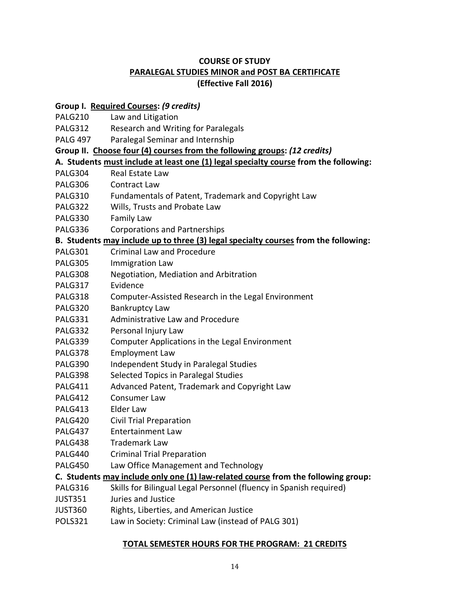# **COURSE OF STUDY PARALEGAL STUDIES MINOR and POST BA CERTIFICATE (Effective Fall 2016)**

# **Group I. Required Courses:** *(9 credits)*

- PALG210 Law and Litigation
- PALG312 Research and Writing for Paralegals
- PALG 497 Paralegal Seminar and Internship
- **Group II. Choose four (4) courses from the following groups:** *(12 credits)*

# **A. Students must include at least one (1) legal specialty course from the following:**

- PALG304 Real Estate Law
- PALG306 Contract Law
- PALG310 Fundamentals of Patent, Trademark and Copyright Law
- PALG322 Wills, Trusts and Probate Law
- PALG330 Family Law
- PALG336 Corporations and Partnerships

# **B. Students may include up to three (3) legal specialty courses from the following:**

- PALG301 Criminal Law and Procedure
- PALG305 Immigration Law
- PALG308 Negotiation, Mediation and Arbitration
- PALG317 Evidence
- PALG318 Computer-Assisted Research in the Legal Environment
- PALG320 Bankruptcy Law
- PALG331 Administrative Law and Procedure
- PALG332 Personal Injury Law
- PALG339 Computer Applications in the Legal Environment
- PALG378 Employment Law
- PALG390 Independent Study in Paralegal Studies
- PALG398 Selected Topics in Paralegal Studies
- PALG411 Advanced Patent, Trademark and Copyright Law
- PALG412 Consumer Law
- PALG413 Elder Law
- PALG420 Civil Trial Preparation
- PALG437 Entertainment Law
- PALG438 Trademark Law
- PALG440 Criminal Trial Preparation
- PALG450 Law Office Management and Technology

#### **C. Students may include only one (1) law-related course from the following group:**

- PALG316 Skills for Bilingual Legal Personnel (fluency in Spanish required)
- JUST351 Juries and Justice
- JUST360 Rights, Liberties, and American Justice
- POLS321 Law in Society: Criminal Law (instead of PALG 301)

#### **TOTAL SEMESTER HOURS FOR THE PROGRAM: 21 CREDITS**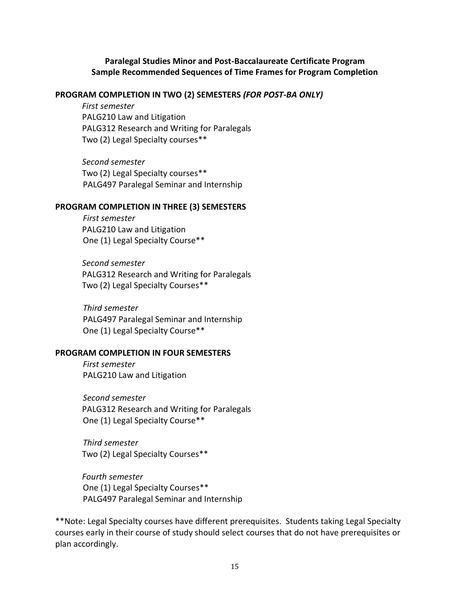#### **Paralegal Studies Minor and Post-Baccalaureate Certificate Program Sample Recommended Sequences of Time Frames for Program Completion**

#### **PROGRAM COMPLETION IN TWO (2) SEMESTERS** *(FOR POST-BA ONLY)*

*First semester* PALG210 Law and Litigation PALG312 Research and Writing for Paralegals Two (2) Legal Specialty courses\*\*

*Second semester*  Two (2) Legal Specialty courses\*\* PALG497 Paralegal Seminar and Internship

#### **PROGRAM COMPLETION IN THREE (3) SEMESTERS**

*First semester* PALG210 Law and Litigation One (1) Legal Specialty Course\*\*

*Second semester*  PALG312 Research and Writing for Paralegals Two (2) Legal Specialty Courses\*\*

*Third semester*  PALG497 Paralegal Seminar and Internship One (1) Legal Specialty Course\*\*

#### **PROGRAM COMPLETION IN FOUR SEMESTERS**

*First semester* PALG210 Law and Litigation

*Second semester*  PALG312 Research and Writing for Paralegals One (1) Legal Specialty Course\*\*

*Third semester* Two (2) Legal Specialty Courses\*\*

*Fourth semester*  One (1) Legal Specialty Courses\*\* PALG497 Paralegal Seminar and Internship

\*\*Note: Legal Specialty courses have different prerequisites. Students taking Legal Specialty courses early in their course of study should select courses that do not have prerequisites or plan accordingly.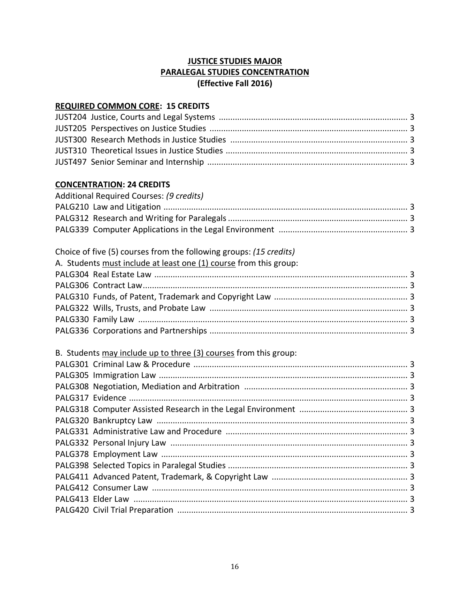# **JUSTICE STUDIES MAJOR PARALEGAL STUDIES CONCENTRATION (Effective Fall 2016)**

#### **REQUIRED COMMON CORE: 15 CREDITS**

# **CONCENTRATION: 24 CREDITS**

| Additional Required Courses: (9 credits) |  |
|------------------------------------------|--|
|                                          |  |
|                                          |  |
|                                          |  |

# Choice of five (5) courses from the following groups: *(15 credits)*

| A. Students must include at least one (1) course from this group: |  |
|-------------------------------------------------------------------|--|
|                                                                   |  |
|                                                                   |  |
|                                                                   |  |
|                                                                   |  |
|                                                                   |  |
|                                                                   |  |
|                                                                   |  |

# B. Students may include up to three (3) courses from this group: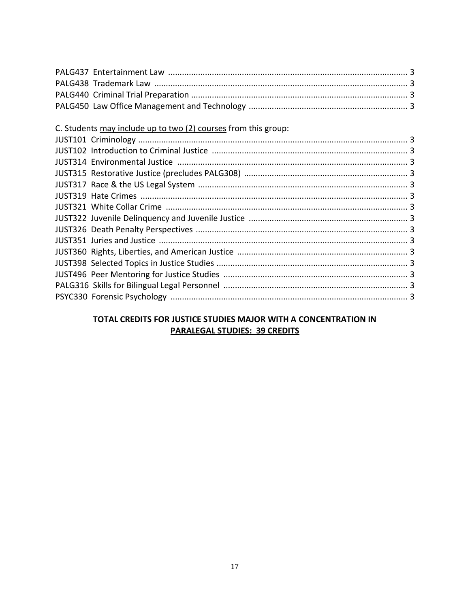# TOTAL CREDITS FOR JUSTICE STUDIES MAJOR WITH A CONCENTRATION IN **PARALEGAL STUDIES: 39 CREDITS**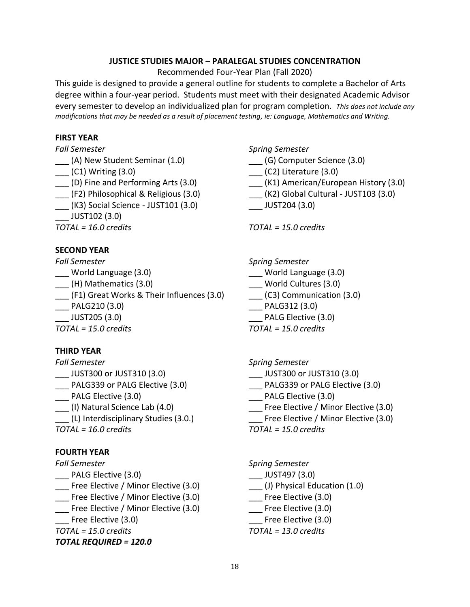### **JUSTICE STUDIES MAJOR – PARALEGAL STUDIES CONCENTRATION**

Recommended Four-Year Plan (Fall 2020)

This guide is designed to provide a general outline for students to complete a Bachelor of Arts degree within a four-year period. Students must meet with their designated Academic Advisor every semester to develop an individualized plan for program completion. *This does not include any modifications that may be needed as a result of placement testing, ie: Language, Mathematics and Writing.* 

#### **FIRST YEAR**

- 
- \_\_\_ (A) New Student Seminar (1.0) \_\_\_ (G) Computer Science (3.0) \_\_\_ (C1) Writing (3.0) \_\_\_ (C2) Literature (3.0) \_\_\_ (F2) Philosophical & Religious (3.0) \_\_\_ (K2) Global Cultural - JUST103 (3.0) \_\_\_ (K3) Social Science - JUST101 (3.0) \_\_\_ JUST204 (3.0) \_\_\_ JUST102 (3.0)
- 

# **SECOND YEAR**

- 
- $\frac{1}{1}$  (H) Mathematics (3.0)
- \_\_\_ (F1) Great Works & Their Influences (3.0) \_\_\_ (C3) Communication (3.0)
- 
- 

# **THIRD YEAR**

- *Fall Semester Spring Semester* \_\_\_ JUST300 or JUST310 (3.0) \_\_\_ JUST300 or JUST310 (3.0) \_\_\_ PALG Elective (3.0) \_\_\_ PALG Elective (3.0)
- 
- 
- 

# **FOURTH YEAR**

- \_\_\_ PALG Elective (3.0) \_\_\_ JUST497 (3.0)
- \_\_\_ Free Elective / Minor Elective (3.0) \_\_\_ (J) Physical Education (1.0)
- \_\_\_ Free Elective / Minor Elective (3.0) \_\_\_ Free Elective (3.0)
- \_\_\_ Free Elective / Minor Elective (3.0) \_\_\_ Free Elective (3.0)
- Free Elective (3.0) **Example 2.0** Free Elective (3.0)

# *TOTAL REQUIRED = 120.0*

*Fall Semester Spring Semester*

- 
- 
- \_\_\_ (D) Fine and Performing Arts (3.0) \_\_\_ (K1) American/European History (3.0)
	-
	-

*TOTAL = 16.0 credits TOTAL = 15.0 credits*

*Fall Semester Spring Semester*

- \_\_\_ World Language (3.0) \_\_\_ World Language (3.0)
	-
	-
- \_\_\_ PALG210 (3.0) \_\_\_ PALG312 (3.0)
- \_\_\_ JUST205 (3.0) \_\_\_ PALG Elective (3.0)
- *TOTAL = 15.0 credits TOTAL = 15.0 credits*

- 
- \_\_\_ PALG339 or PALG Elective (3.0) \_\_\_ PALG339 or PALG Elective (3.0)
	-
	- \_\_ Free Elective / Minor Elective (3.0)
- (L) Interdisciplinary Studies (3.0.) Tree Elective / Minor Elective (3.0)

*TOTAL = 16.0 credits TOTAL = 15.0 credits*

# *Fall Semester Spring Semester*

- 
- 
- 
- 
- 
- *TOTAL = 15.0 credits TOTAL = 13.0 credits*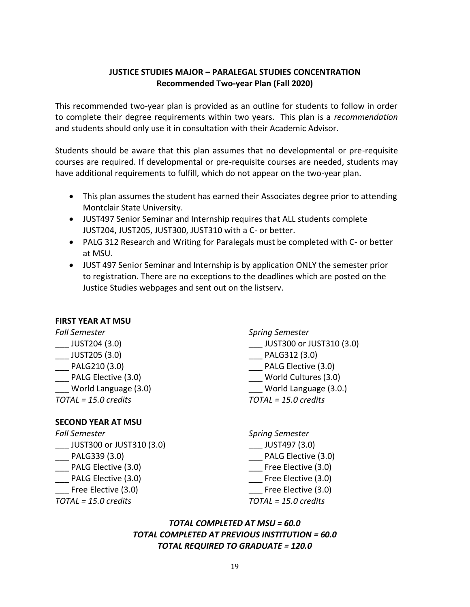# **JUSTICE STUDIES MAJOR – PARALEGAL STUDIES CONCENTRATION Recommended Two-year Plan (Fall 2020)**

This recommended two-year plan is provided as an outline for students to follow in order to complete their degree requirements within two years. This plan is a *recommendation* and students should only use it in consultation with their Academic Advisor.

Students should be aware that this plan assumes that no developmental or pre-requisite courses are required. If developmental or pre-requisite courses are needed, students may have additional requirements to fulfill, which do not appear on the two-year plan.

- This plan assumes the student has earned their Associates degree prior to attending Montclair State University.
- JUST497 Senior Seminar and Internship requires that ALL students complete JUST204, JUST205, JUST300, JUST310 with a C- or better.
- PALG 312 Research and Writing for Paralegals must be completed with C- or better at MSU.
- JUST 497 Senior Seminar and Internship is by application ONLY the semester prior to registration. There are no exceptions to the deadlines which are posted on the Justice Studies webpages and sent out on the listserv.

#### **FIRST YEAR AT MSU**

| Fall Semester        | <b>Spring Semester</b>   |
|----------------------|--------------------------|
| JUST204 (3.0)        | JUST300 or JUST310 (3.0) |
| JUST205 (3.0)        | PALG312 (3.0)            |
| PALG210 (3.0)        | PALG Elective (3.0)      |
| PALG Elective (3.0)  | World Cultures (3.0)     |
| World Language (3.0) | World Language (3.0.)    |
| TOTAL = 15.0 credits | $TOTAL = 15.0$ credits   |
|                      |                          |

# **SECOND YEAR AT MSU**

| <b>Fall Semester</b>     | <b>Spring Semester</b> |
|--------------------------|------------------------|
| JUST300 or JUST310 (3.0) | JUST497 (3.0)          |
| PALG339 (3.0)            | PALG Elective (3.0)    |
| PALG Elective (3.0)      | Free Elective (3.0)    |
| PALG Elective (3.0)      | Free Elective (3.0)    |
| Free Elective (3.0)      | Free Elective (3.0)    |
| TOTAL = 15.0 credits     | $TOTAL = 15.0$ credits |
|                          |                        |

# *TOTAL COMPLETED AT MSU = 60.0 TOTAL COMPLETED AT PREVIOUS INSTITUTION = 60.0 TOTAL REQUIRED TO GRADUATE = 120.0*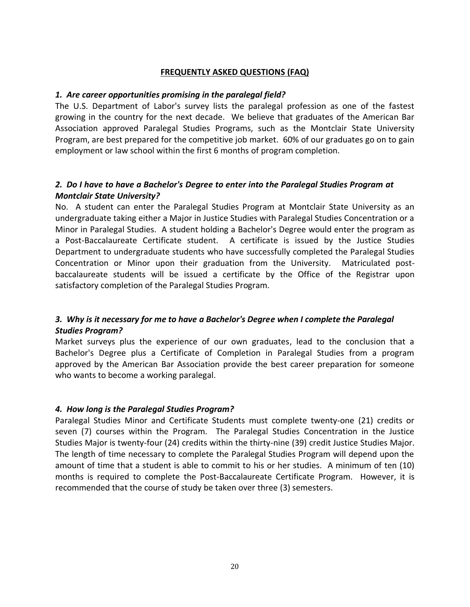#### **FREQUENTLY ASKED QUESTIONS (FAQ)**

#### *1. Are career opportunities promising in the paralegal field?*

The U.S. Department of Labor's survey lists the paralegal profession as one of the fastest growing in the country for the next decade. We believe that graduates of the American Bar Association approved Paralegal Studies Programs, such as the Montclair State University Program, are best prepared for the competitive job market. 60% of our graduates go on to gain employment or law school within the first 6 months of program completion.

# *2. Do I have to have a Bachelor's Degree to enter into the Paralegal Studies Program at Montclair State University?*

No. A student can enter the Paralegal Studies Program at Montclair State University as an undergraduate taking either a Major in Justice Studies with Paralegal Studies Concentration or a Minor in Paralegal Studies. A student holding a Bachelor's Degree would enter the program as a Post-Baccalaureate Certificate student. A certificate is issued by the Justice Studies Department to undergraduate students who have successfully completed the Paralegal Studies Concentration or Minor upon their graduation from the University. Matriculated postbaccalaureate students will be issued a certificate by the Office of the Registrar upon satisfactory completion of the Paralegal Studies Program.

# *3. Why is it necessary for me to have a Bachelor's Degree when I complete the Paralegal Studies Program?*

Market surveys plus the experience of our own graduates, lead to the conclusion that a Bachelor's Degree plus a Certificate of Completion in Paralegal Studies from a program approved by the American Bar Association provide the best career preparation for someone who wants to become a working paralegal.

#### *4. How long is the Paralegal Studies Program?*

Paralegal Studies Minor and Certificate Students must complete twenty-one (21) credits or seven (7) courses within the Program. The Paralegal Studies Concentration in the Justice Studies Major is twenty-four (24) credits within the thirty-nine (39) credit Justice Studies Major. The length of time necessary to complete the Paralegal Studies Program will depend upon the amount of time that a student is able to commit to his or her studies. A minimum of ten (10) months is required to complete the Post-Baccalaureate Certificate Program. However, it is recommended that the course of study be taken over three (3) semesters.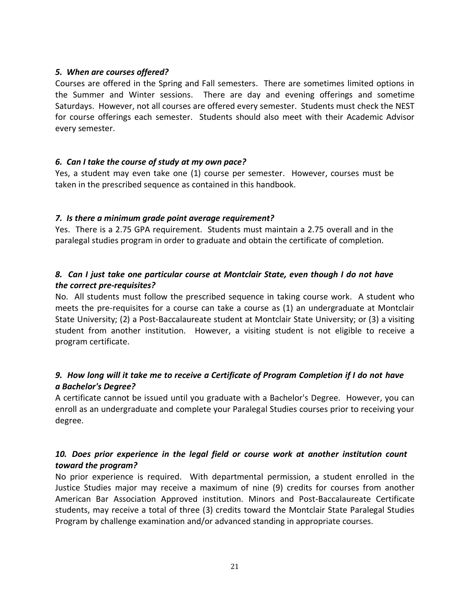#### *5. When are courses offered?*

Courses are offered in the Spring and Fall semesters. There are sometimes limited options in the Summer and Winter sessions. There are day and evening offerings and sometime Saturdays. However, not all courses are offered every semester. Students must check the NEST for course offerings each semester. Students should also meet with their Academic Advisor every semester.

# *6. Can I take the course of study at my own pace?*

Yes, a student may even take one (1) course per semester. However, courses must be taken in the prescribed sequence as contained in this handbook.

# *7. Is there a minimum grade point average requirement?*

Yes. There is a 2.75 GPA requirement. Students must maintain a 2.75 overall and in the paralegal studies program in order to graduate and obtain the certificate of completion.

# *8. Can I just take one particular course at Montclair State, even though I do not have the correct pre-requisites?*

No. All students must follow the prescribed sequence in taking course work. A student who meets the pre-requisites for a course can take a course as (1) an undergraduate at Montclair State University; (2) a Post-Baccalaureate student at Montclair State University; or (3) a visiting student from another institution. However, a visiting student is not eligible to receive a program certificate.

# *9. How long will it take me to receive a Certificate of Program Completion if I do not have a Bachelor's Degree?*

A certificate cannot be issued until you graduate with a Bachelor's Degree. However, you can enroll as an undergraduate and complete your Paralegal Studies courses prior to receiving your degree.

# *10. Does prior experience in the legal field or course work at another institution count toward the program?*

No prior experience is required. With departmental permission, a student enrolled in the Justice Studies major may receive a maximum of nine (9) credits for courses from another American Bar Association Approved institution. Minors and Post-Baccalaureate Certificate students, may receive a total of three (3) credits toward the Montclair State Paralegal Studies Program by challenge examination and/or advanced standing in appropriate courses.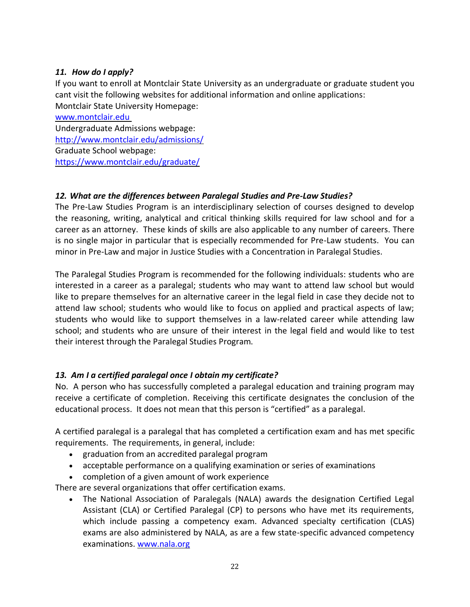# *11. How do I apply?*

If you want to enroll at Montclair State University as an undergraduate or graduate student you cant visit the following websites for additional information and online applications: Montclair State University Homepage:

[www.montclair.edu](http://www.montclair.edu/) Undergraduate Admissions webpage: <http://www.montclair.edu/admissions/> Graduate School webpage: <https://www.montclair.edu/graduate/>

# *12. What are the differences between Paralegal Studies and Pre-Law Studies?*

The Pre-Law Studies Program is an interdisciplinary selection of courses designed to develop the reasoning, writing, analytical and critical thinking skills required for law school and for a career as an attorney. These kinds of skills are also applicable to any number of careers. There is no single major in particular that is especially recommended for Pre-Law students. You can minor in Pre-Law and major in Justice Studies with a Concentration in Paralegal Studies.

The Paralegal Studies Program is recommended for the following individuals: students who are interested in a career as a paralegal; students who may want to attend law school but would like to prepare themselves for an alternative career in the legal field in case they decide not to attend law school; students who would like to focus on applied and practical aspects of law; students who would like to support themselves in a law-related career while attending law school; and students who are unsure of their interest in the legal field and would like to test their interest through the Paralegal Studies Program.

# *13. Am I a certified paralegal once I obtain my certificate?*

No. A person who has successfully completed a paralegal education and training program may receive a certificate of completion. Receiving this certificate designates the conclusion of the educational process. It does not mean that this person is "certified" as a paralegal.

A certified paralegal is a paralegal that has completed a certification exam and has met specific requirements. The requirements, in general, include:

- graduation from an accredited paralegal program
- acceptable performance on a qualifying examination or series of examinations
- completion of a given amount of work experience

There are several organizations that offer certification exams.

• The National Association of Paralegals (NALA) awards the designation Certified Legal Assistant (CLA) or Certified Paralegal (CP) to persons who have met its requirements, which include passing a competency exam. Advanced specialty certification (CLAS) exams are also administered by NALA, as are a few state-specific advanced competency examinations. [www.nala.org](http://www.nala.org/)